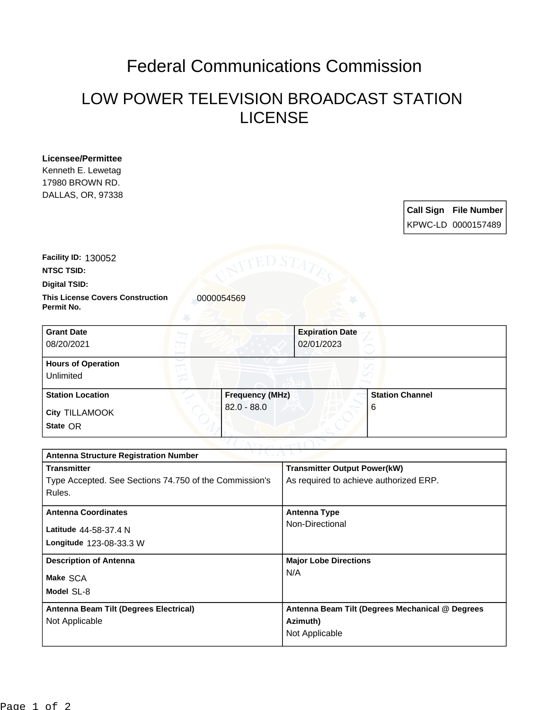## Federal Communications Commission

## LOW POWER TELEVISION BROADCAST STATION LICENSE

**Licensee/Permittee** Kenneth E. Lewetag 17980 BROWN RD. DALLAS, OR, 97338

| Call Sign File Number |
|-----------------------|
| KPWC-LD 0000157489    |

**Facility ID:** 130052

**NTSC TSID:**

**Digital TSID:**

**This License Covers Construction 10000054569 Permit No.**

| <b>Grant Date</b><br>08/20/2021        | <b>Expiration Date</b><br>02/01/2023 |                        |
|----------------------------------------|--------------------------------------|------------------------|
| <b>Hours of Operation</b><br>Unlimited |                                      |                        |
| <b>Station Location</b>                | <b>Frequency (MHz)</b>               | <b>Station Channel</b> |
| <b>City TILLAMOOK</b><br>State OR      | $82.0 - 88.0$                        | 6                      |

| ヘマゴ しっかいしゃ<br><b>Antenna Structure Registration Number</b> |                                                 |  |  |  |
|------------------------------------------------------------|-------------------------------------------------|--|--|--|
| <b>Transmitter</b>                                         | <b>Transmitter Output Power(kW)</b>             |  |  |  |
| Type Accepted. See Sections 74.750 of the Commission's     | As required to achieve authorized ERP.          |  |  |  |
| Rules.                                                     |                                                 |  |  |  |
| <b>Antenna Coordinates</b>                                 | <b>Antenna Type</b>                             |  |  |  |
|                                                            | Non-Directional                                 |  |  |  |
| Latitude 44-58-37.4 N                                      |                                                 |  |  |  |
| <b>Longitude 123-08-33.3 W</b>                             |                                                 |  |  |  |
| <b>Description of Antenna</b>                              | <b>Major Lobe Directions</b>                    |  |  |  |
| Make SCA                                                   | N/A                                             |  |  |  |
| Model SL-8                                                 |                                                 |  |  |  |
| Antenna Beam Tilt (Degrees Electrical)                     | Antenna Beam Tilt (Degrees Mechanical @ Degrees |  |  |  |
| Not Applicable                                             | Azimuth)                                        |  |  |  |
|                                                            | Not Applicable                                  |  |  |  |